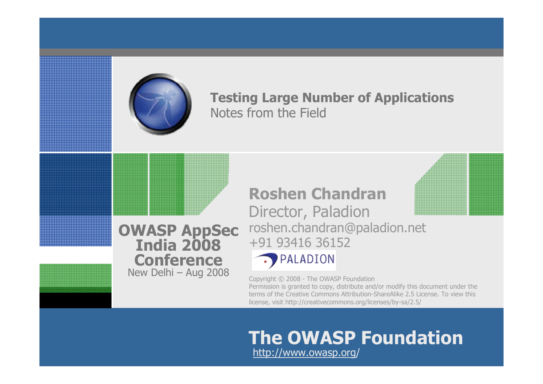

#### **Testing Large Number of Applications** Notes from the Field

#### **OWASP AppSec India 2008Conference**New Delhi – Aug 2008

**Roshen Chandran** Director, Paladion roshen.chandran@paladion.net +91 93416 36152



Copyright © 2008 - The OWASP Foundation Permission is granted to copy, distribute and/or modify this document under the terms of the Creative Commons Attribution-ShareAlike 2.5 License. To view this license, visit http://creativecommons.org/licenses/by-sa/2.5/

#### **The OWASP Foundation** http://www.owasp.org/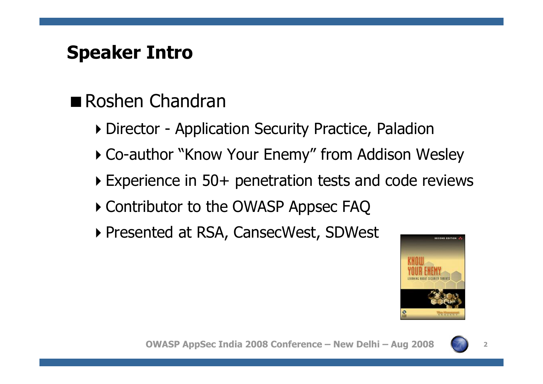#### **Speaker Intro**

- Roshen Chandran
	- -Director Application Security Practice, Paladion
	- -Co-author "Know Your Enemy" from Addison Wesley
	- -Experience in 50+ penetration tests and code reviews
	- -Contributor to the OWASP Appsec FAQ
	- -Presented at RSA, CansecWest, SDWest

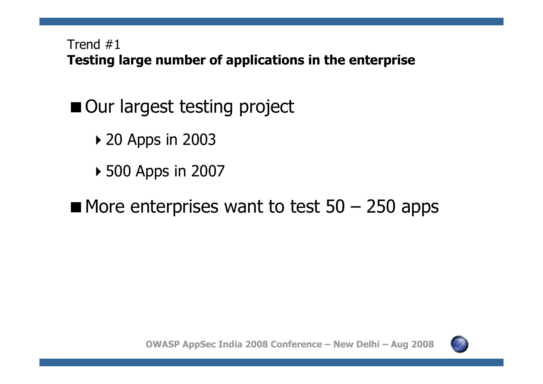Trend #1 **Testing large number of applications in the enterprise**

- Our largest testing project
	- ▶ 20 Apps in 2003
	- ▶ 500 Apps in 2007
- $\blacksquare$  More enterprises want to test 50 250 apps



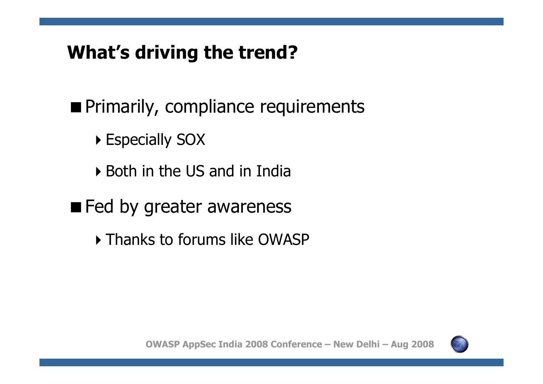# **What's driving the trend?**

**Primarily, compliance requirements** 

- -Especially SOX
- -Both in the US and in India
- **Exagge Fed by greater awareness** 
	- -Thanks to forums like OWASP

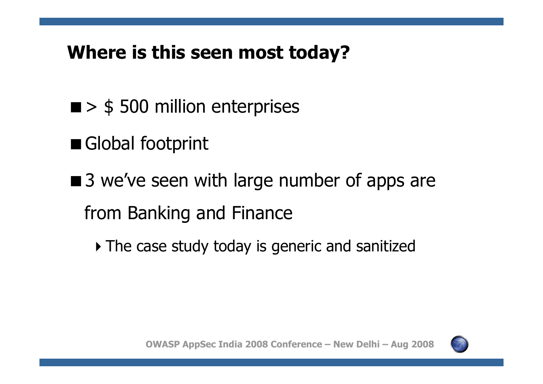## **Where is this seen most today?**

- > \$ 500 million enterprises
- Global footprint
- ■3 we've seen with large number of apps are from Banking and Finance
	- $\blacktriangleright$  The case study today is generic and sanitized

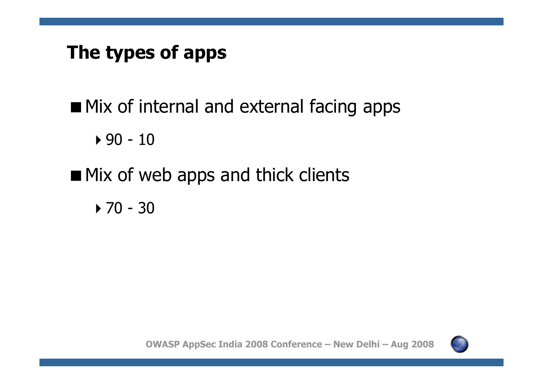## **The types of apps**

**Mix of internal and external facing apps** 

-90 - 10

**Nix of web apps and thick clients** 

-70 - 30

**OWASP AppSec India 2008 Conference – New Delhi – Aug 2008**

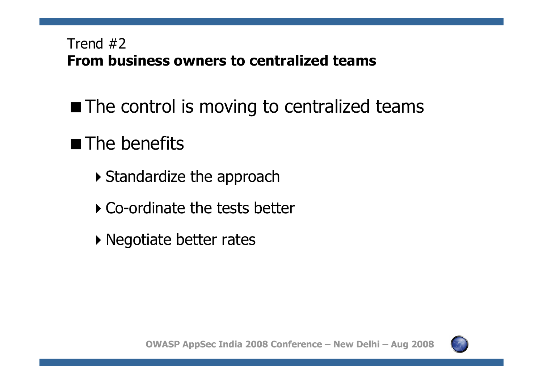#### Trend #2 **From business owners to centralized teams**

**The control is moving to centralized teams** 

# ■ The benefits

- **Standardize the approach**
- -Co-ordinate the tests better
- **Negotiate better rates**

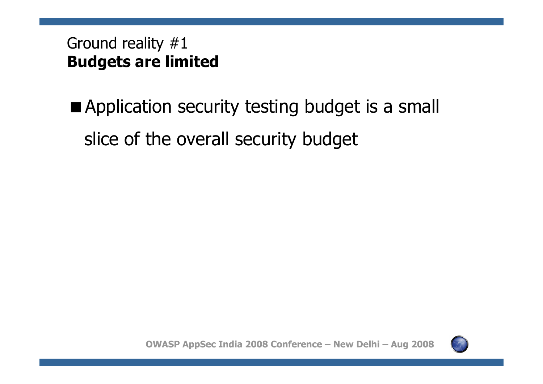#### Ground reality #1 **Budgets are limited**

**Application security testing budget is a small** slice of the overall security budget

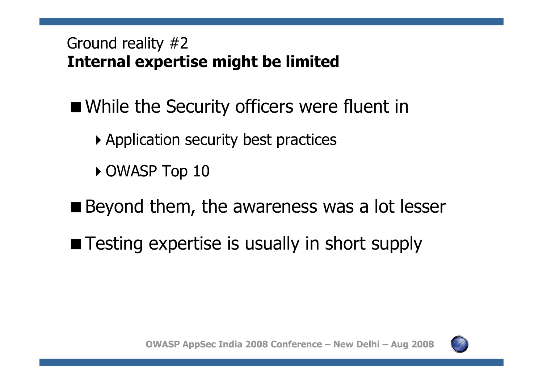#### Ground reality #2 **Internal expertise might be limited**

- While the Security officers were fluent in
	- -Application security best practices
	- $\blacktriangleright$  OWASP Top 10
- Beyond them, the awareness was a lot lesser
- Testing expertise is usually in short supply

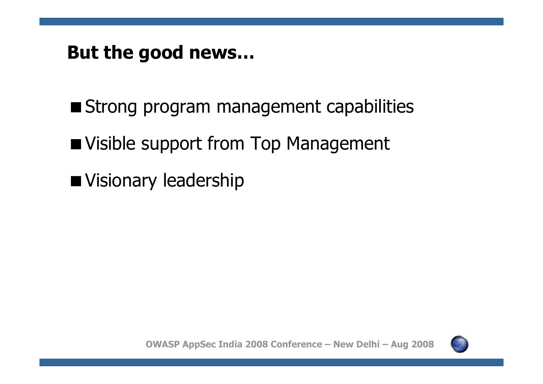#### **But the good news…**

Strong program management capabilities

**Notainal Support from Top Management** 

Visionary leadership

**OWASP AppSec India 2008 Conference – New Delhi – Aug 2008**

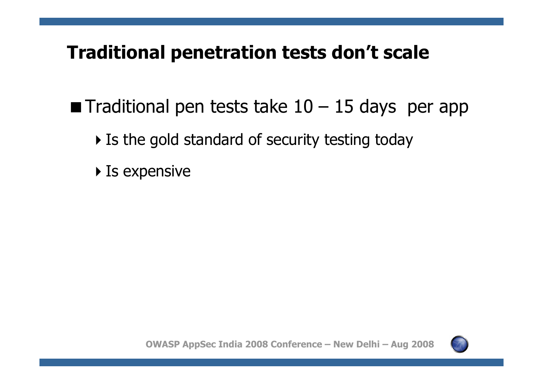#### **Traditional penetration tests don't scale**

**Traditional pen tests take 10 – 15 days per app** 

- $\blacktriangleright$  Is the gold standard of security testing today
- $\blacktriangleright$  Is expensive

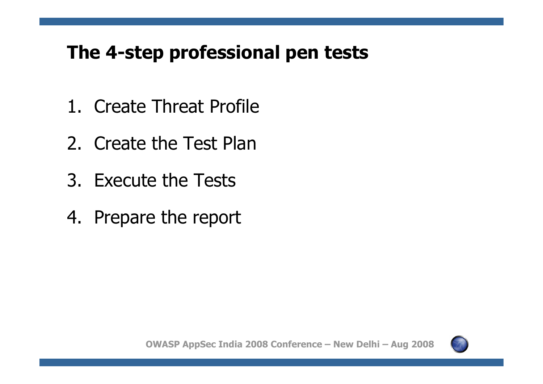## **The 4-step professional pen tests**

- 1. Create Threat Profile
- 2. Create the Test Plan
- 3. Execute the Tests
- 4. Prepare the report

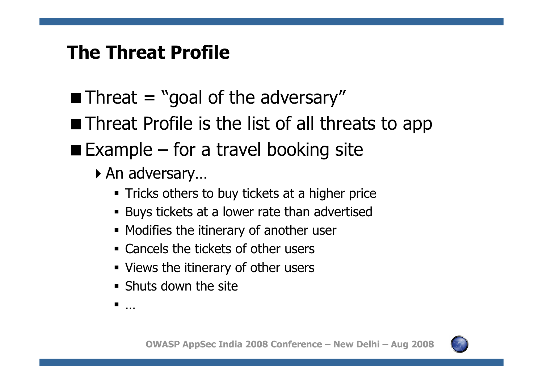#### **The Threat Profile**

- $\blacksquare$  Threat = "goal of the adversary"
- **Threat Profile is the list of all threats to app**
- $\blacksquare$  Example for a travel booking site
	- -An adversary…
		- Tricks others to buy tickets at <sup>a</sup> higher price
		- Buys tickets at <sup>a</sup> lower rate than advertised
		- **Modifies the itinerary of another user**
		- Cancels the tickets of other users
		- Views the itinerary of other users
		- **Shuts down the site**
		- ٠ …

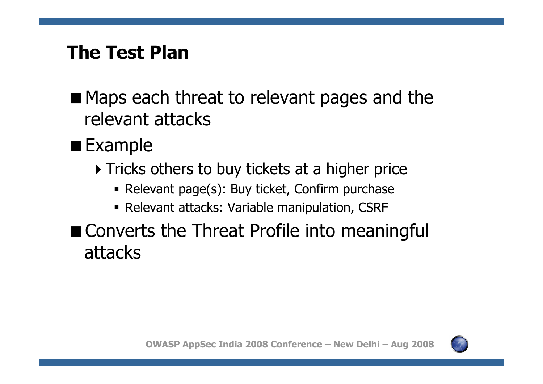#### **The Test Plan**

- **Maps each threat to relevant pages and the** relevant attacks
- $\blacksquare$  Example
	- $\blacktriangleright$  Tricks others to buy tickets at a higher price
		- Relevant page(s): Buy ticket, Confirm purchase
		- Relevant attacks: Variable manipulation, CSRF
- **Converts the Threat Profile into meaningful** attacks

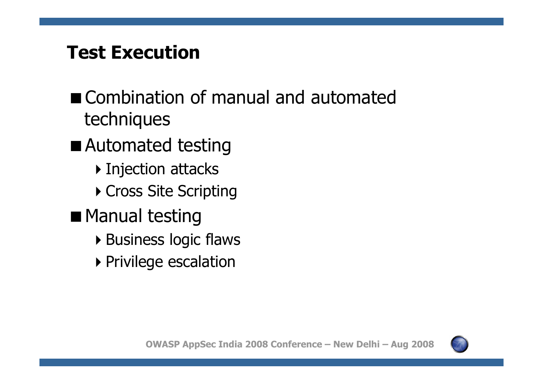### **Test Execution**

- Combination of manual and automated techniques
- Automated testing
	- $\blacktriangleright$  Injection attacks
	- $\blacktriangleright$  Cross Site Scripting
- **Manual testing** 
	- -Business logic flaws
	- **Privilege escalation**

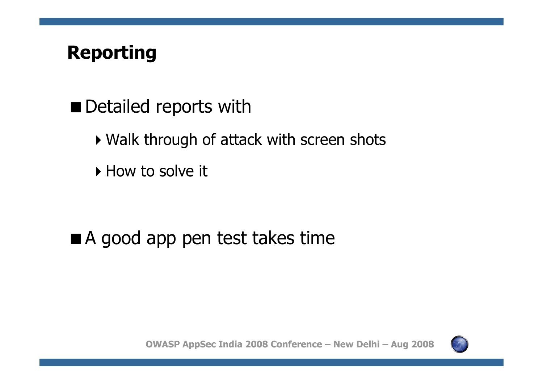# **Reporting**

- **Detailed reports with** 
	- $\blacktriangleright$  Walk through of attack with screen shots
	- $\blacktriangleright$  How to solve it

## A good app pen test takes time

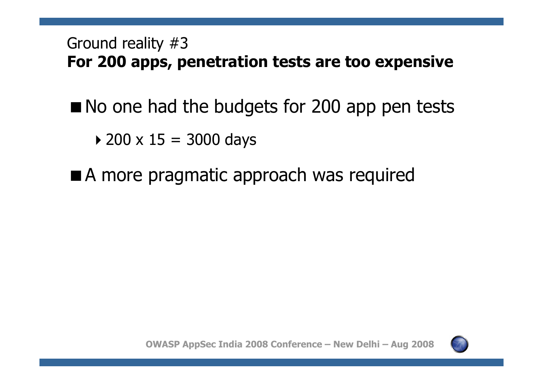#### Ground reality #3 **For 200 apps, penetration tests are too expensive**

- No one had the budgets for 200 app pen tests
	- -200 x 15 <sup>=</sup> 3000 days
- A more pragmatic approach was required



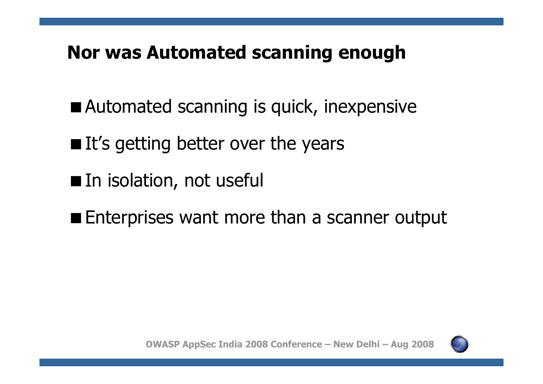#### **Nor was Automated scanning enough**

- Automated scanning is quick, inexpensive
- $\blacksquare$  It's getting better over the years
- **In isolation, not useful**
- **Enterprises want more than a scanner output**

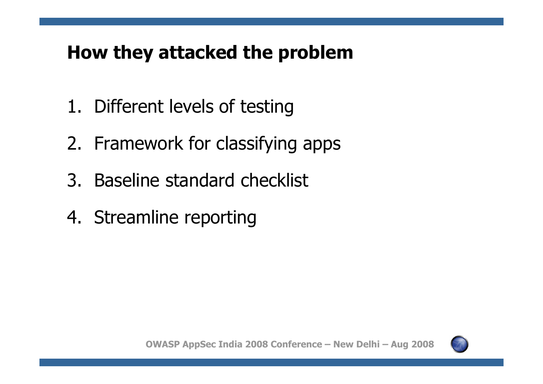## **How they attacked the problem**

- 1. Different levels of testing
- 2. Framework for classifying apps
- 3. Baseline standard checklist
- 4. Streamline reporting

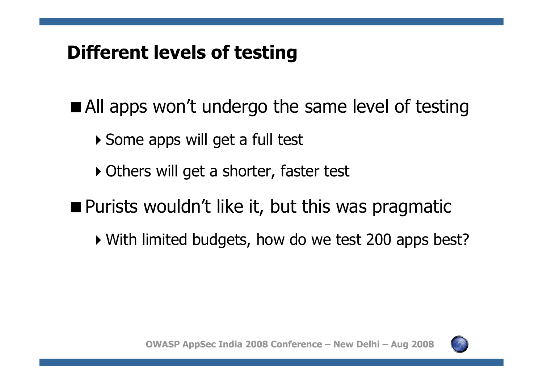## **Different levels of testing**

**All apps won't undergo the same level of testing** 

- -Some apps will get <sup>a</sup> full test
- -Others will get <sup>a</sup> shorter, faster test
- Purists wouldn't like it, but this was pragmatic
	- -With limited budgets, how do we test 200 apps best?

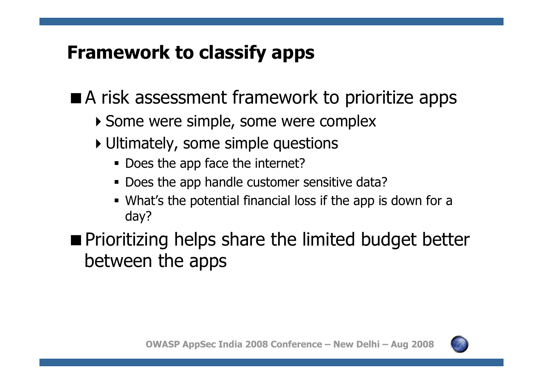## **Framework to classify apps**

- A risk assessment framework to prioritize apps
	- -Some were simple, some were complex
	- -Ultimately, some simple questions
		- **-** Does the app face the internet?
		- Does the app handle customer sensitive data?
		- What's the potential financial loss if the app is down for <sup>a</sup> day?

**Prioritizing helps share the limited budget better** between the apps

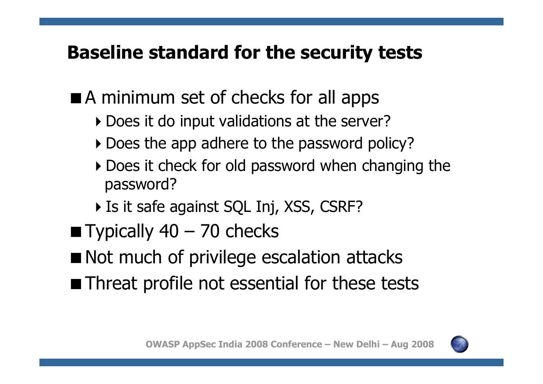## **Baseline standard for the security tests**

- **A** minimum set of checks for all apps
	- -Does it do input validations at the server?
	- -Does the app adhere to the password policy?
	- **Does it check for old password when changing the** password?
	- -Is it safe against SQL Inj, XSS, CSRF?
- $\blacksquare$  Typically 40 70 checks
- **Not much of privilege escalation attacks**
- **Threat profile not essential for these tests**

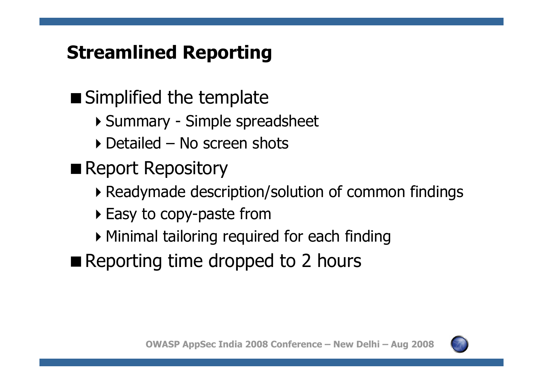# **Streamlined Reporting**

- **Simplified the template** 
	- -Summary Simple spreadsheet
	- -Detailed No screen shots
- Report Repository
	- -Readymade description/solution of common findings
	- **Easy to copy-paste from**
	- -Minimal tailoring required for each finding
- Reporting time dropped to 2 hours

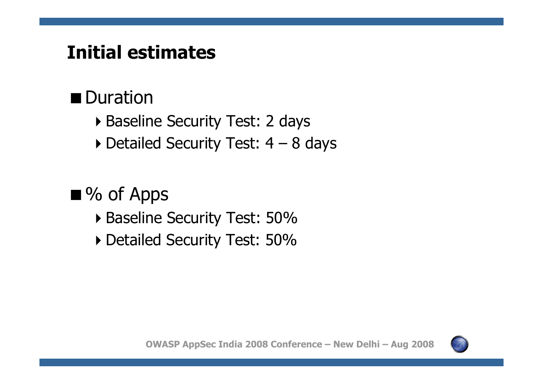# **Initial estimates**

#### **Duration**

- -Baseline Security Test: 2 days
- -Detailed Security Test: 4 8 days

 $\blacksquare$  % of Apps

- -Baseline Security Test: 50%
- -Detailed Security Test: 50%

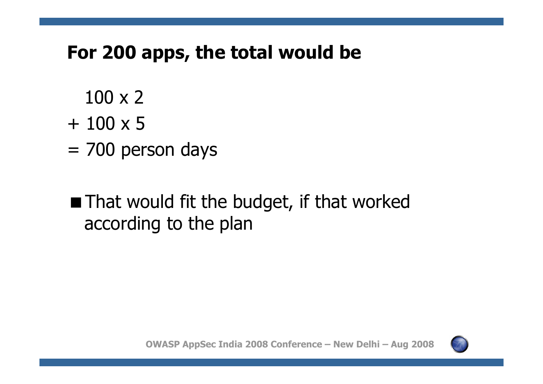#### **For 200 apps, the total would be**

- 100 x 2
- + 100 x 5
- =700 person days

# **That would fit the budget, if that worked** according to the plan

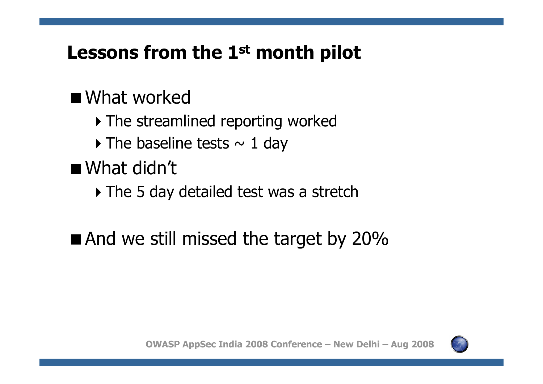# **Lessons from the 1st month pilot**

## ■ What worked

- $\blacktriangleright$  The streamlined reporting worked
- $\blacktriangleright$  The baseline tests  $\sim 1$  day

■ What didn't

 $\blacktriangleright$  The 5 day detailed test was a stretch

 $\blacksquare$  And we still missed the target by 20%

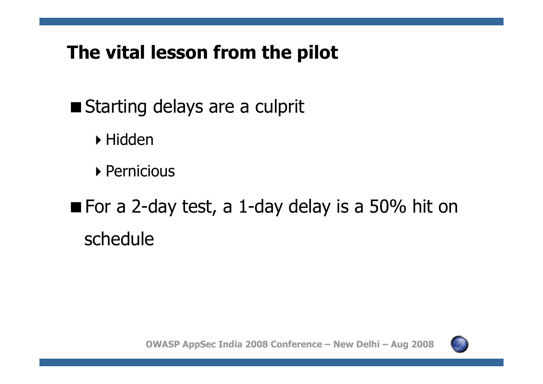## **The vital lesson from the pilot**

- Starting delays are a culprit
	- -Hidden
	- ▶ Pernicious
- For a 2-day test, <sup>a</sup> 1-day delay is <sup>a</sup> 50% hit on schedule

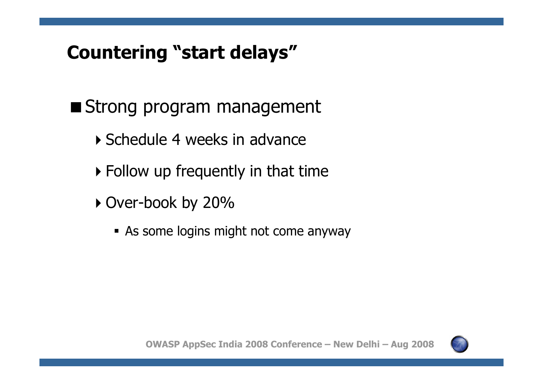# **Countering "start delays"**

- Strong program management
	- -Schedule 4 weeks in advance
	- $\blacktriangleright$  Follow up frequently in that time
	- -Over-book by 20%
		- As some logins might not come anyway

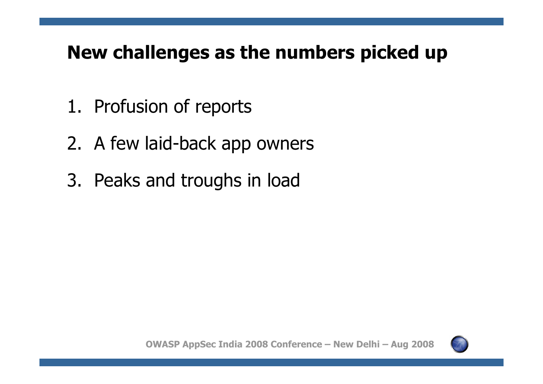## **New challenges as the numbers picked up**

- 1. Profusion of reports
- 2. A few laid-back app owners
- 3. Peaks and troughs in load

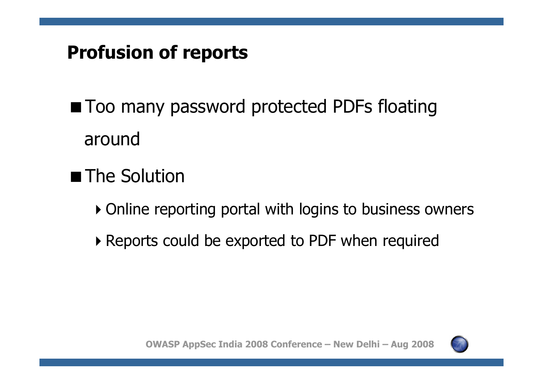# **Profusion of reports**

**Too many password protected PDFs floating** around

- The Solution
	- -Online reporting portal with logins to business owners
	- $\blacktriangleright$  Reports could be exported to PDF when required

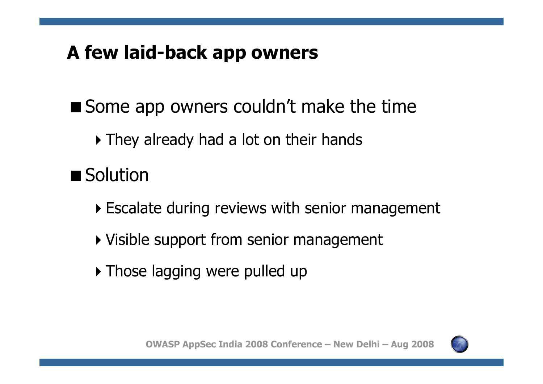# **A few laid-back app owners**

Some app owners couldn't make the time

 $\blacktriangleright$  They already had a lot on their hands

■ Solution

- -Escalate during reviews with senior management
- -Visible support from senior management
- -Those lagging were pulled up

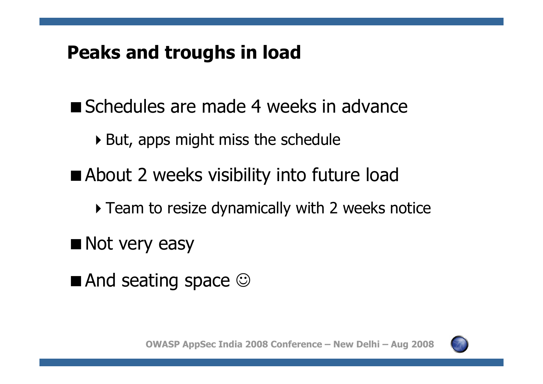#### **Peaks and troughs in load**

- Schedules are made 4 weeks in advance
	- $\blacktriangleright$  But, apps might miss the schedule
- **About 2 weeks visibility into future load** 
	- $\blacktriangleright$  Team to resize dynamically with 2 weeks notice
- Not very easy
- $\blacksquare$  And seating space  $\odot$

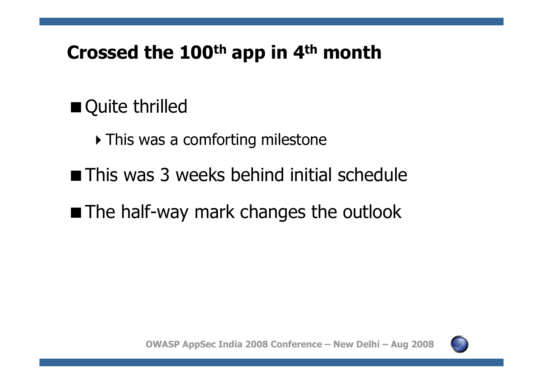### **Crossed the 100th app in 4th month**

# ■ Quite thrilled

- $\blacktriangleright$  This was a comforting milestone
- **This was 3 weeks behind initial schedule**
- **The half-way mark changes the outlook**

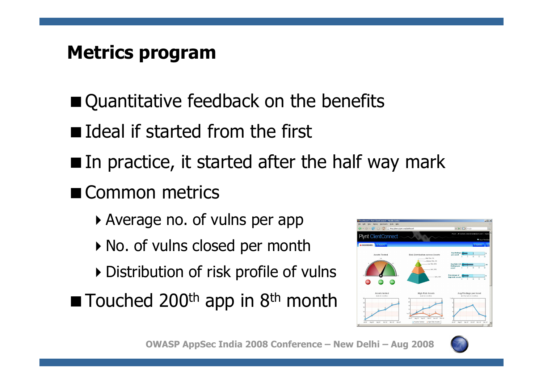# **Metrics program**

- Quantitative feedback on the benefits
- **Ideal if started from the first**
- $\blacksquare$  In practice, it started after the half way mark
- Common metrics
	- -Average no. of vulns per app
	- $\blacktriangleright$  No. of vulns closed per month
	- $\blacktriangleright$  Distribution of risk profile of vulns
- Touched 200<sup>th</sup> app in 8<sup>th</sup> month





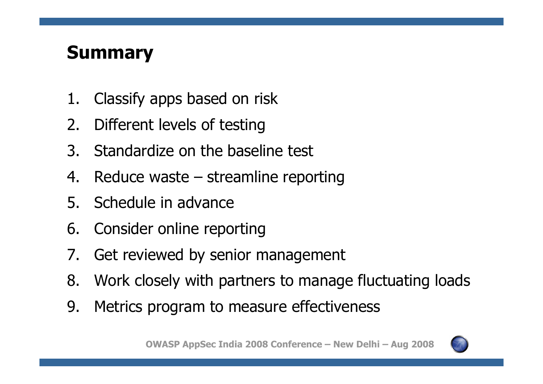# **Summary**

- 1.Classify apps based on risk
- 2.Different levels of testing
- 3. Standardize on the baseline test
- 4.. Reduce waste – streamline reporting
- 5. Schedule in advance
- 6. Consider online reporting
- 7. Get reviewed by senior management
- 8. Work closely with partners to manage fluctuating loads
- 9. Metrics program to measure effectiveness